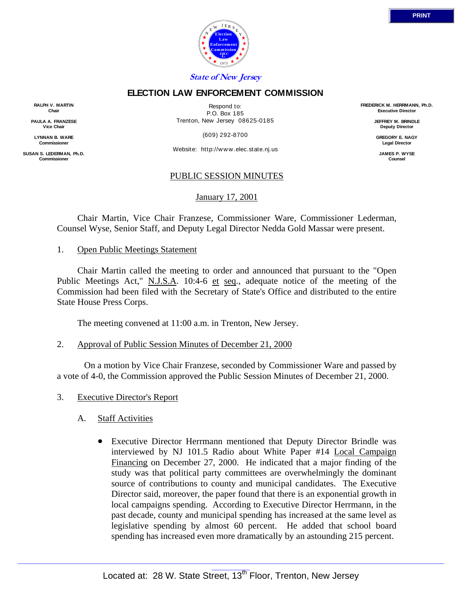

# **ELECTION LAW ENFORCEMENT COMMISSION**

Respond to: P.O. Box 185 Trenton, New Jersey 08625-0185

(609) 292-8700

Website: http://www.elec.state.nj.us

## PUBLIC SESSION MINUTES

January 17, 2001

 Chair Martin, Vice Chair Franzese, Commissioner Ware, Commissioner Lederman, Counsel Wyse, Senior Staff, and Deputy Legal Director Nedda Gold Massar were present.

## 1. Open Public Meetings Statement

**RALPH V. MARTIN Chair PAULA A. FRANZESE Vice Chair LYNNAN B. WARE Commission SUSAN S. LEDERMAN, Ph.D. Commission** 

> Chair Martin called the meeting to order and announced that pursuant to the "Open Public Meetings Act," N.J.S.A. 10:4-6 et seq., adequate notice of the meeting of the Commission had been filed with the Secretary of State's Office and distributed to the entire State House Press Corps.

The meeting convened at 11:00 a.m. in Trenton, New Jersey.

2. Approval of Public Session Minutes of December 21, 2000

 On a motion by Vice Chair Franzese, seconded by Commissioner Ware and passed by a vote of 4-0, the Commission approved the Public Session Minutes of December 21, 2000.

- 3. Executive Director's Report
	- A. Staff Activities
		- Executive Director Herrmann mentioned that Deputy Director Brindle was interviewed by NJ 101.5 Radio about White Paper #14 Local Campaign Financing on December 27, 2000. He indicated that a major finding of the study was that political party committees are overwhelmingly the dominant source of contributions to county and municipal candidates. The Executive Director said, moreover, the paper found that there is an exponential growth in local campaigns spending. According to Executive Director Herrmann, in the past decade, county and municipal spending has increased at the same level as legislative spending by almost 60 percent. He added that school board spending has increased even more dramatically by an astounding 215 percent.

**FREDERICK M. HERRMANN, Ph.D. Executive Director**

> **JEFFREY M. BRINDLE Deputy Director**

**GREGORY E. NAGY Legal Director**

**JAMES P. WYSE Counsel**

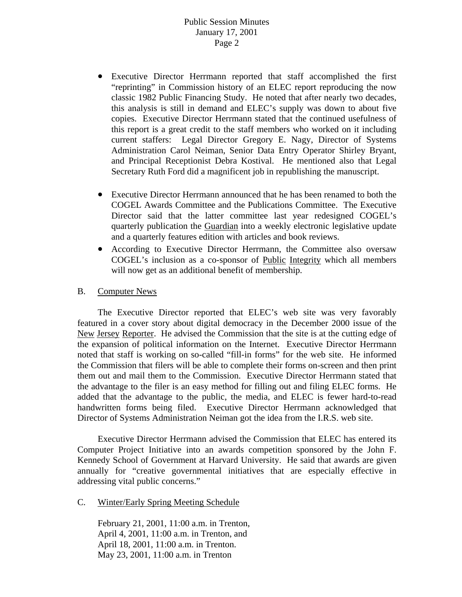- Executive Director Herrmann reported that staff accomplished the first "reprinting" in Commission history of an ELEC report reproducing the now classic 1982 Public Financing Study. He noted that after nearly two decades, this analysis is still in demand and ELEC's supply was down to about five copies. Executive Director Herrmann stated that the continued usefulness of this report is a great credit to the staff members who worked on it including current staffers: Legal Director Gregory E. Nagy, Director of Systems Administration Carol Neiman, Senior Data Entry Operator Shirley Bryant, and Principal Receptionist Debra Kostival. He mentioned also that Legal Secretary Ruth Ford did a magnificent job in republishing the manuscript.
- Executive Director Herrmann announced that he has been renamed to both the COGEL Awards Committee and the Publications Committee. The Executive Director said that the latter committee last year redesigned COGEL's quarterly publication the Guardian into a weekly electronic legislative update and a quarterly features edition with articles and book reviews.
- According to Executive Director Herrmann, the Committee also oversaw COGEL's inclusion as a co-sponsor of Public Integrity which all members will now get as an additional benefit of membership.

#### B. Computer News

The Executive Director reported that ELEC's web site was very favorably featured in a cover story about digital democracy in the December 2000 issue of the New Jersey Reporter. He advised the Commission that the site is at the cutting edge of the expansion of political information on the Internet. Executive Director Herrmann noted that staff is working on so-called "fill-in forms" for the web site. He informed the Commission that filers will be able to complete their forms on-screen and then print them out and mail them to the Commission. Executive Director Herrmann stated that the advantage to the filer is an easy method for filling out and filing ELEC forms. He added that the advantage to the public, the media, and ELEC is fewer hard-to-read handwritten forms being filed. Executive Director Herrmann acknowledged that Director of Systems Administration Neiman got the idea from the I.R.S. web site.

Executive Director Herrmann advised the Commission that ELEC has entered its Computer Project Initiative into an awards competition sponsored by the John F. Kennedy School of Government at Harvard University. He said that awards are given annually for "creative governmental initiatives that are especially effective in addressing vital public concerns."

C. Winter/Early Spring Meeting Schedule

February 21, 2001, 11:00 a.m. in Trenton, April 4, 2001, 11:00 a.m. in Trenton, and April 18, 2001, 11:00 a.m. in Trenton. May 23, 2001, 11:00 a.m. in Trenton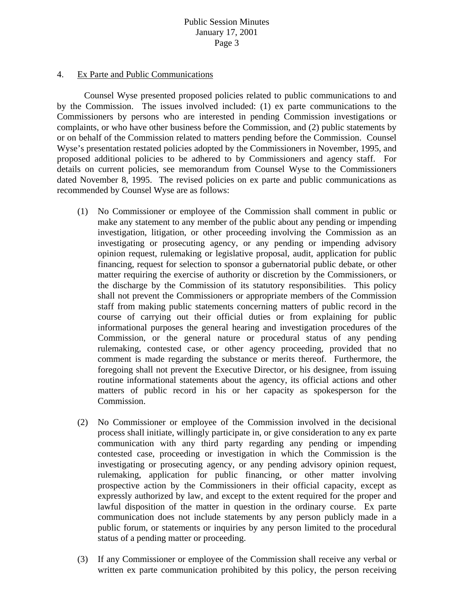#### 4. Ex Parte and Public Communications

 Counsel Wyse presented proposed policies related to public communications to and by the Commission. The issues involved included: (1) ex parte communications to the Commissioners by persons who are interested in pending Commission investigations or complaints, or who have other business before the Commission, and (2) public statements by or on behalf of the Commission related to matters pending before the Commission. Counsel Wyse's presentation restated policies adopted by the Commissioners in November, 1995, and proposed additional policies to be adhered to by Commissioners and agency staff. For details on current policies, see memorandum from Counsel Wyse to the Commissioners dated November 8, 1995. The revised policies on ex parte and public communications as recommended by Counsel Wyse are as follows:

- (1) No Commissioner or employee of the Commission shall comment in public or make any statement to any member of the public about any pending or impending investigation, litigation, or other proceeding involving the Commission as an investigating or prosecuting agency, or any pending or impending advisory opinion request, rulemaking or legislative proposal, audit, application for public financing, request for selection to sponsor a gubernatorial public debate, or other matter requiring the exercise of authority or discretion by the Commissioners, or the discharge by the Commission of its statutory responsibilities. This policy shall not prevent the Commissioners or appropriate members of the Commission staff from making public statements concerning matters of public record in the course of carrying out their official duties or from explaining for public informational purposes the general hearing and investigation procedures of the Commission, or the general nature or procedural status of any pending rulemaking, contested case, or other agency proceeding, provided that no comment is made regarding the substance or merits thereof. Furthermore, the foregoing shall not prevent the Executive Director, or his designee, from issuing routine informational statements about the agency, its official actions and other matters of public record in his or her capacity as spokesperson for the Commission.
- (2) No Commissioner or employee of the Commission involved in the decisional process shall initiate, willingly participate in, or give consideration to any ex parte communication with any third party regarding any pending or impending contested case, proceeding or investigation in which the Commission is the investigating or prosecuting agency, or any pending advisory opinion request, rulemaking, application for public financing, or other matter involving prospective action by the Commissioners in their official capacity, except as expressly authorized by law, and except to the extent required for the proper and lawful disposition of the matter in question in the ordinary course. Ex parte communication does not include statements by any person publicly made in a public forum, or statements or inquiries by any person limited to the procedural status of a pending matter or proceeding.
- (3) If any Commissioner or employee of the Commission shall receive any verbal or written ex parte communication prohibited by this policy, the person receiving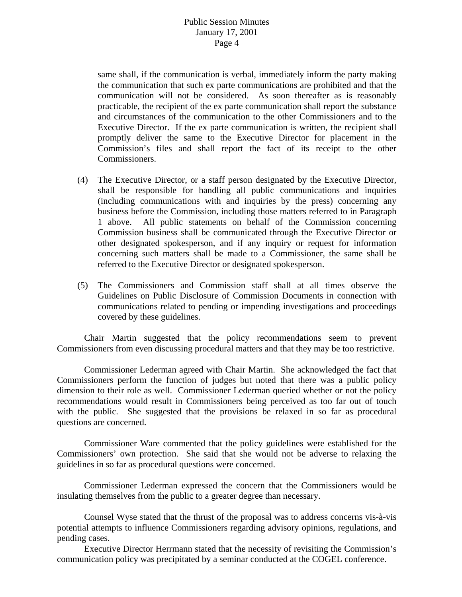same shall, if the communication is verbal, immediately inform the party making the communication that such ex parte communications are prohibited and that the communication will not be considered. As soon thereafter as is reasonably practicable, the recipient of the ex parte communication shall report the substance and circumstances of the communication to the other Commissioners and to the Executive Director. If the ex parte communication is written, the recipient shall promptly deliver the same to the Executive Director for placement in the Commission's files and shall report the fact of its receipt to the other Commissioners.

- (4) The Executive Director, or a staff person designated by the Executive Director, shall be responsible for handling all public communications and inquiries (including communications with and inquiries by the press) concerning any business before the Commission, including those matters referred to in Paragraph 1 above. All public statements on behalf of the Commission concerning Commission business shall be communicated through the Executive Director or other designated spokesperson, and if any inquiry or request for information concerning such matters shall be made to a Commissioner, the same shall be referred to the Executive Director or designated spokesperson.
- (5) The Commissioners and Commission staff shall at all times observe the Guidelines on Public Disclosure of Commission Documents in connection with communications related to pending or impending investigations and proceedings covered by these guidelines.

 Chair Martin suggested that the policy recommendations seem to prevent Commissioners from even discussing procedural matters and that they may be too restrictive.

 Commissioner Lederman agreed with Chair Martin. She acknowledged the fact that Commissioners perform the function of judges but noted that there was a public policy dimension to their role as well. Commissioner Lederman queried whether or not the policy recommendations would result in Commissioners being perceived as too far out of touch with the public. She suggested that the provisions be relaxed in so far as procedural questions are concerned.

 Commissioner Ware commented that the policy guidelines were established for the Commissioners' own protection. She said that she would not be adverse to relaxing the guidelines in so far as procedural questions were concerned.

 Commissioner Lederman expressed the concern that the Commissioners would be insulating themselves from the public to a greater degree than necessary.

 Counsel Wyse stated that the thrust of the proposal was to address concerns vis-à-vis potential attempts to influence Commissioners regarding advisory opinions, regulations, and pending cases.

 Executive Director Herrmann stated that the necessity of revisiting the Commission's communication policy was precipitated by a seminar conducted at the COGEL conference.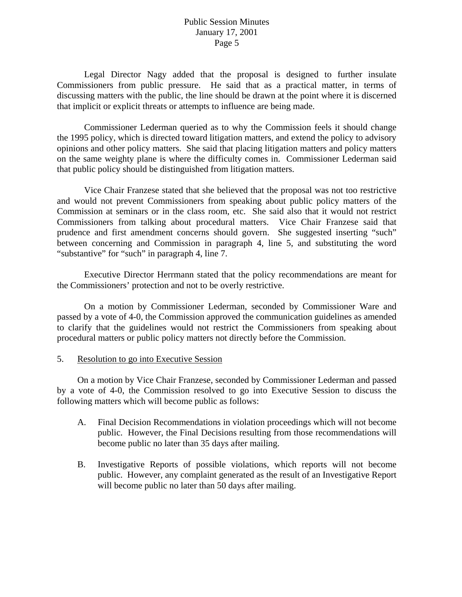Legal Director Nagy added that the proposal is designed to further insulate Commissioners from public pressure. He said that as a practical matter, in terms of discussing matters with the public, the line should be drawn at the point where it is discerned that implicit or explicit threats or attempts to influence are being made.

 Commissioner Lederman queried as to why the Commission feels it should change the 1995 policy, which is directed toward litigation matters, and extend the policy to advisory opinions and other policy matters. She said that placing litigation matters and policy matters on the same weighty plane is where the difficulty comes in. Commissioner Lederman said that public policy should be distinguished from litigation matters.

 Vice Chair Franzese stated that she believed that the proposal was not too restrictive and would not prevent Commissioners from speaking about public policy matters of the Commission at seminars or in the class room, etc. She said also that it would not restrict Commissioners from talking about procedural matters. Vice Chair Franzese said that prudence and first amendment concerns should govern. She suggested inserting "such" between concerning and Commission in paragraph 4, line 5, and substituting the word "substantive" for "such" in paragraph 4, line 7.

 Executive Director Herrmann stated that the policy recommendations are meant for the Commissioners' protection and not to be overly restrictive.

 On a motion by Commissioner Lederman, seconded by Commissioner Ware and passed by a vote of 4-0, the Commission approved the communication guidelines as amended to clarify that the guidelines would not restrict the Commissioners from speaking about procedural matters or public policy matters not directly before the Commission.

#### 5. Resolution to go into Executive Session

 On a motion by Vice Chair Franzese, seconded by Commissioner Lederman and passed by a vote of 4-0, the Commission resolved to go into Executive Session to discuss the following matters which will become public as follows:

- A. Final Decision Recommendations in violation proceedings which will not become public. However, the Final Decisions resulting from those recommendations will become public no later than 35 days after mailing.
- B. Investigative Reports of possible violations, which reports will not become public. However, any complaint generated as the result of an Investigative Report will become public no later than 50 days after mailing.